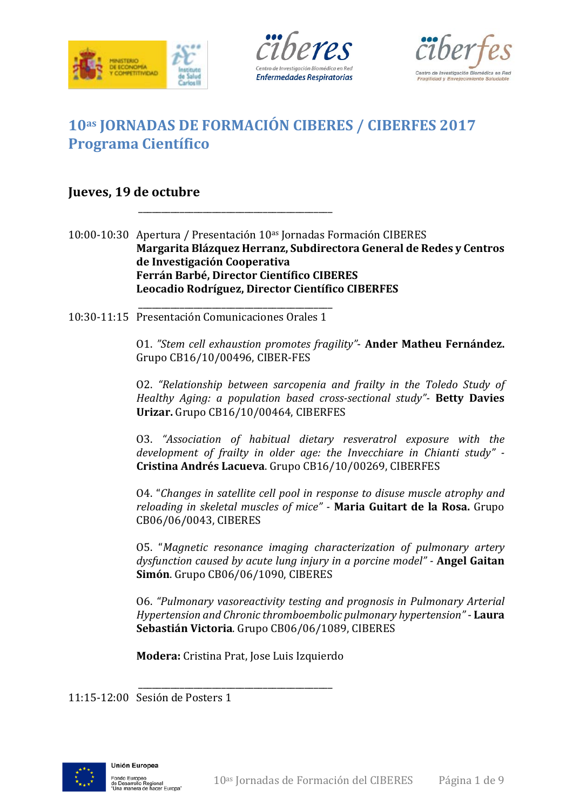





# **10as JORNADAS DE FORMACIÓN CIBERES / CIBERFES 2017 Programa Científico**

\_\_\_\_\_\_\_\_\_\_\_\_\_\_\_\_\_\_\_\_\_\_\_\_\_\_\_\_\_\_\_\_\_\_\_\_\_\_\_\_\_\_

## **Jueves, 19 de octubre**

10:00-10:30 Apertura / Presentación 10<sup>as</sup> Jornadas Formación CIBERES **Margarita Blázquez Herranz, Subdirectora General de Redes y Centros de Investigación Cooperativa Ferrán Barbé, Director Científico CIBERES Leocadio Rodríguez, Director Científico CIBERFES**

\_\_\_\_\_\_\_\_\_\_\_\_\_\_\_\_\_\_\_\_\_\_\_\_\_\_\_\_\_\_\_\_\_\_\_\_\_\_\_\_\_\_ 10:30-11:15 Presentación Comunicaciones Orales 1

> O1. *"Stem cell exhaustion promotes fragility"*- **Ander Matheu Fernández.**  Grupo CB16/10/00496, CIBER-FES

> O2. *"Relationship between sarcopenia and frailty in the Toledo Study of Healthy Aging: a population based cross-sectional study"-* **Betty Davies Urizar.** Grupo CB16/10/00464, CIBERFES

> O3. *"Association of habitual dietary resveratrol exposure with the development of frailty in older age: the Invecchiare in Chianti study" -* **Cristina Andrés Lacueva**. Grupo CB16/10/00269, CIBERFES

> O4. "*Changes in satellite cell pool in response to disuse muscle atrophy and reloading in skeletal muscles of mice" -* **Maria Guitart de la Rosa.** Grupo CB06/06/0043, CIBERES

> O5. "*Magnetic resonance imaging characterization of pulmonary artery dysfunction caused by acute lung injury in a porcine model" -* **Angel Gaitan Simón**. Grupo CB06/06/1090, CIBERES

> O6. *"Pulmonary vasoreactivity testing and prognosis in Pulmonary Arterial Hypertension and Chronic thromboembolic pulmonary hypertension"* - **Laura Sebastián Victoria**. Grupo CB06/06/1089, CIBERES

**Modera:** Cristina Prat, Jose Luis Izquierdo

\_\_\_\_\_\_\_\_\_\_\_\_\_\_\_\_\_\_\_\_\_\_\_\_\_\_\_\_\_\_\_\_\_\_\_\_\_\_\_\_\_\_ 11:15-12:00 Sesión de Posters 1

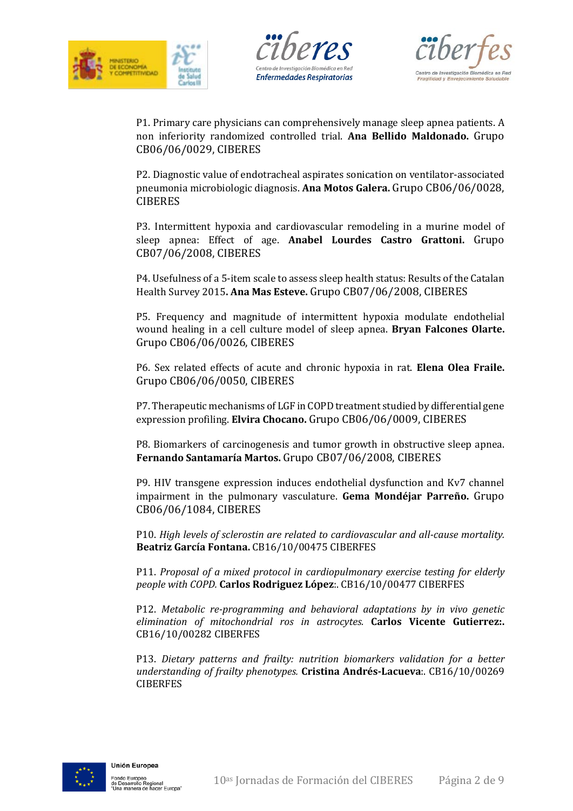





P1. Primary care physicians can comprehensively manage sleep apnea patients. A non inferiority randomized controlled trial. **Ana Bellido Maldonado.** Grupo CB06/06/0029, CIBERES

P2. Diagnostic value of endotracheal aspirates sonication on ventilator-associated pneumonia microbiologic diagnosis. **Ana Motos Galera.** Grupo CB06/06/0028, **CIBERES** 

P3. Intermittent hypoxia and cardiovascular remodeling in a murine model of sleep apnea: Effect of age. **Anabel Lourdes Castro Grattoni.** Grupo CB07/06/2008, CIBERES

P4. Usefulness of a 5-item scale to assess sleep health status: Results of the Catalan Health Survey 2015**. Ana Mas Esteve.** Grupo CB07/06/2008, CIBERES

P5. Frequency and magnitude of intermittent hypoxia modulate endothelial wound healing in a cell culture model of sleep apnea. **Bryan Falcones Olarte.**  Grupo CB06/06/0026, CIBERES

P6. Sex related effects of acute and chronic hypoxia in rat. **Elena Olea Fraile.**  Grupo CB06/06/0050, CIBERES

P7. Therapeutic mechanisms of LGF in COPD treatment studied by differential gene expression profiling. **Elvira Chocano.** Grupo CB06/06/0009, CIBERES

P8. Biomarkers of carcinogenesis and tumor growth in obstructive sleep apnea. **Fernando Santamaría Martos.** Grupo CB07/06/2008, CIBERES

P9. HIV transgene expression induces endothelial dysfunction and Kv7 channel impairment in the pulmonary vasculature. **Gema Mondéjar Parreño.** Grupo CB06/06/1084, CIBERES

P10. *High levels of sclerostin are related to cardiovascular and all-cause mortality.*  **Beatriz García Fontana.** CB16/10/00475 CIBERFES

P11. *Proposal of a mixed protocol in cardiopulmonary exercise testing for elderly people with COPD.* **Carlos Rodriguez López**:. CB16/10/00477 CIBERFES

P12. *Metabolic re-programming and behavioral adaptations by in vivo genetic elimination of mitochondrial ros in astrocytes.* **Carlos Vicente Gutierrez:.**  CB16/10/00282 CIBERFES

P13. *Dietary patterns and frailty: nutrition biomarkers validation for a better understanding of frailty phenotypes.* **Cristina Andrés-Lacueva**:. CB16/10/00269 **CIBERFES** 

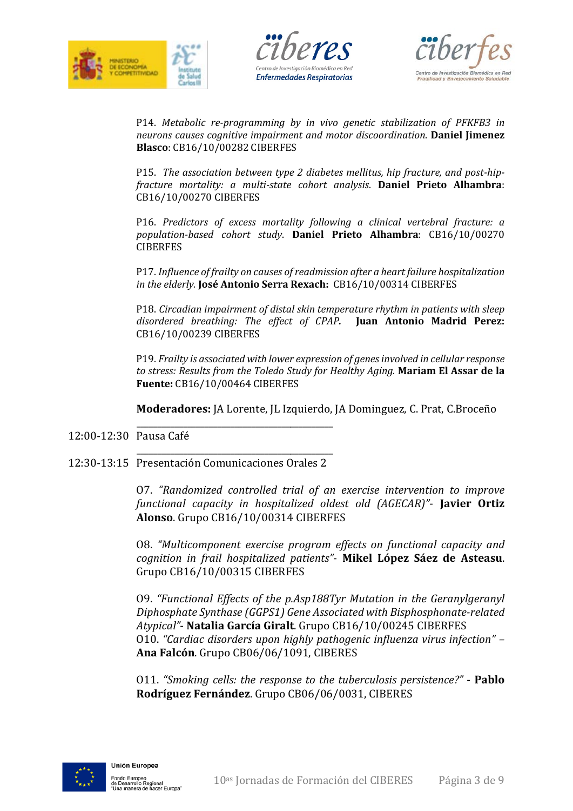





P14. *Metabolic re-programming by in vivo genetic stabilization of PFKFB3 in neurons causes cognitive impairment and motor discoordination*. **Daniel Jimenez Blasco**: CB16/10/00282 CIBERFES

P15. *The association between type 2 diabetes mellitus, hip fracture, and post-hipfracture mortality: a multi-state cohort analysis*. **Daniel Prieto Alhambra**: CB16/10/00270 CIBERFES

P16. *Predictors of excess mortality following a clinical vertebral fracture: a population-based cohort study*. **Daniel Prieto Alhambra**: CB16/10/00270 **CIBERFES** 

P17. *Influence of frailty on causes of readmission after a heart failure hospitalization in the elderly.* **José Antonio Serra Rexach:** CB16/10/00314 CIBERFES

P18. *Circadian impairment of distal skin temperature rhythm in patients with sleep disordered breathing: The effect of CPAP.* **Juan Antonio Madrid Perez:** CB16/10/00239 CIBERFES

P19. *Frailty is associated with lower expression of genes involved in cellular response to stress: Results from the Toledo Study for Healthy Aging.* **Mariam El Assar de la Fuente:** CB16/10/00464 CIBERFES

**Moderadores:** JA Lorente, JL Izquierdo, JA Dominguez, C. Prat, C.Broceño

\_\_\_\_\_\_\_\_\_\_\_\_\_\_\_\_\_\_\_\_\_\_\_\_\_\_\_\_\_\_\_\_\_\_\_\_\_\_\_\_\_\_\_\_\_\_ 12:00-12:30 Pausa Café

#### \_\_\_\_\_\_\_\_\_\_\_\_\_\_\_\_\_\_\_\_\_\_\_\_\_\_\_\_\_\_\_\_\_\_\_\_\_\_\_\_\_\_\_\_\_\_ 12:30-13:15 Presentación Comunicaciones Orales 2

O7. *"Randomized controlled trial of an exercise intervention to improve functional capacity in hospitalized oldest old (AGECAR)"*- **Javier Ortiz Alonso**. Grupo CB16/10/00314 CIBERFES

O8. *"Multicomponent exercise program effects on functional capacity and cognition in frail hospitalized patients"*- **Mikel López Sáez de Asteasu**. Grupo CB16/10/00315 CIBERFES

O9. *"Functional Effects of the p.Asp188Tyr Mutation in the Geranylgeranyl Diphosphate Synthase (GGPS1) Gene Associated with Bisphosphonate-related Atypical"*- **Natalia García Giralt**. Grupo CB16/10/00245 CIBERFES O10. *"Cardiac disorders upon highly pathogenic influenza virus infection" –* **Ana Falcón**. Grupo CB06/06/1091, CIBERES

O11. *"Smoking cells: the response to the tuberculosis persistence?"* - **Pablo Rodríguez Fernández**. Grupo CB06/06/0031, CIBERES

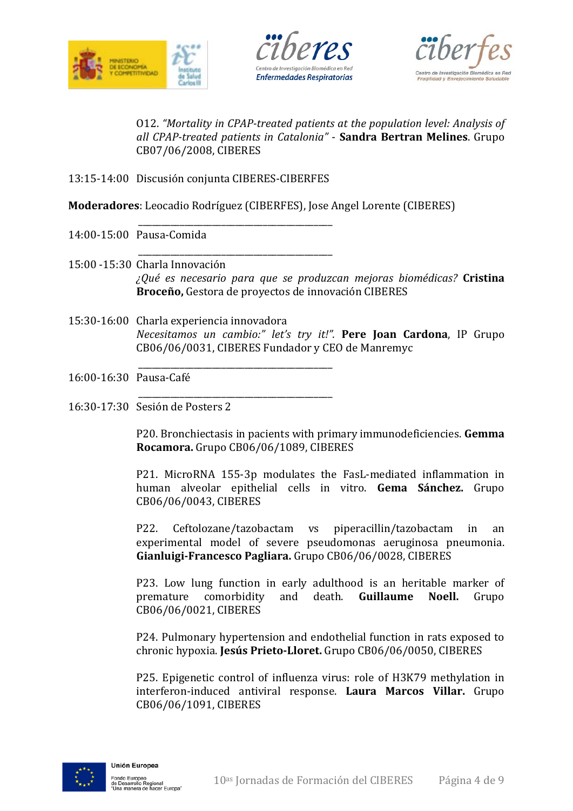





O12. *"Mortality in CPAP-treated patients at the population level: Analysis of all CPAP-treated patients in Catalonia"* - **Sandra Bertran Melines**. Grupo CB07/06/2008, CIBERES

13:15-14:00 Discusión conjunta CIBERES-CIBERFES

**Moderadores**: Leocadio Rodríguez (CIBERFES), Jose Angel Lorente (CIBERES)

- \_\_\_\_\_\_\_\_\_\_\_\_\_\_\_\_\_\_\_\_\_\_\_\_\_\_\_\_\_\_\_\_\_\_\_\_\_\_\_\_\_\_ 14:00-15:00 Pausa-Comida
- \_\_\_\_\_\_\_\_\_\_\_\_\_\_\_\_\_\_\_\_\_\_\_\_\_\_\_\_\_\_\_\_\_\_\_\_\_\_\_\_\_\_ 15:00 -15:30 Charla Innovación *¿Qué es necesario para que se produzcan mejoras biomédicas?* **Cristina Broceño,** Gestora de proyectos de innovación CIBERES
- 15:30-16:00 Charla experiencia innovadora *Necesitamos un cambio:" let's try it!".* **Pere Joan Cardona**, IP Grupo CB06/06/0031, CIBERES Fundador y CEO de Manremyc
- \_\_\_\_\_\_\_\_\_\_\_\_\_\_\_\_\_\_\_\_\_\_\_\_\_\_\_\_\_\_\_\_\_\_\_\_\_\_\_\_\_\_ 16:00-16:30 Pausa-Café
- \_\_\_\_\_\_\_\_\_\_\_\_\_\_\_\_\_\_\_\_\_\_\_\_\_\_\_\_\_\_\_\_\_\_\_\_\_\_\_\_\_\_ 16:30-17:30 Sesión de Posters 2

P20. Bronchiectasis in pacients with primary immunodeficiencies. **Gemma Rocamora.** Grupo CB06/06/1089, CIBERES

P21. MicroRNA 155-3p modulates the FasL-mediated inflammation in human alveolar epithelial cells in vitro. **Gema Sánchez.** Grupo CB06/06/0043, CIBERES

P22. Ceftolozane/tazobactam vs piperacillin/tazobactam in an experimental model of severe pseudomonas aeruginosa pneumonia. **Gianluigi-Francesco Pagliara.** Grupo CB06/06/0028, CIBERES

P23. Low lung function in early adulthood is an heritable marker of premature comorbidity and death. **Guillaume Noell.** Grupo premature comorbidity and death. **Guillaume** CB06/06/0021, CIBERES

P24. Pulmonary hypertension and endothelial function in rats exposed to chronic hypoxia. **Jesús Prieto-Lloret.** Grupo CB06/06/0050, CIBERES

P25. Epigenetic control of influenza virus: role of H3K79 methylation in interferon-induced antiviral response. **Laura Marcos Villar.** Grupo CB06/06/1091, CIBERES

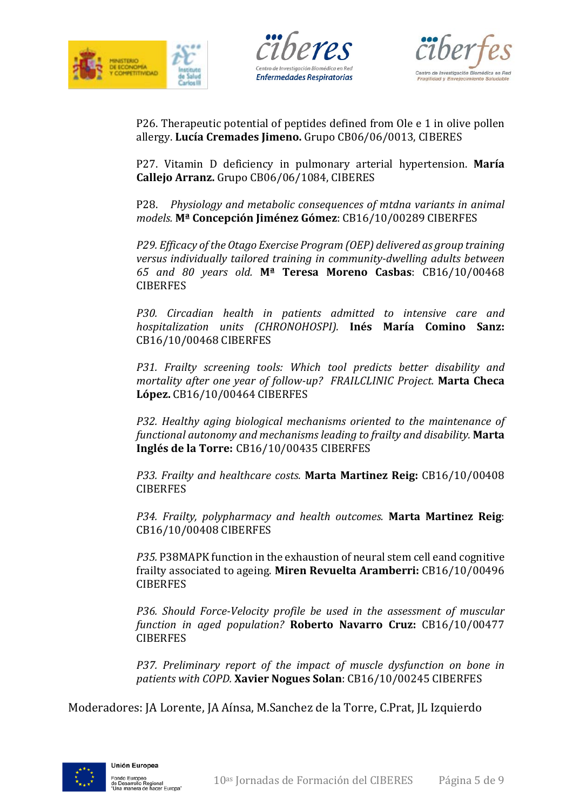





P26. Therapeutic potential of peptides defined from Ole e 1 in olive pollen allergy. **Lucía Cremades Jimeno.** Grupo CB06/06/0013, CIBERES

P27. Vitamin D deficiency in pulmonary arterial hypertension. **María Callejo Arranz.** Grupo CB06/06/1084, CIBERES

P28. *Physiology and metabolic consequences of mtdna variants in animal models.* **Mª Concepción Jiménez Gómez**: CB16/10/00289 CIBERFES

*P29. Efficacy of the Otago Exercise Program (OEP) delivered as group training versus individually tailored training in community-dwelling adults between 65 and 80 years old.* **Mª Teresa Moreno Casbas**: CB16/10/00468 **CIBERFES** 

*P30. Circadian health in patients admitted to intensive care and hospitalization units (CHRONOHOSPI).* **Inés María Comino Sanz:** CB16/10/00468 CIBERFES

*P31. Frailty screening tools: Which tool predicts better disability and mortality after one year of follow-up? FRAILCLINIC Project.* **Marta Checa López.** CB16/10/00464 CIBERFES

*P32. Healthy aging biological mechanisms oriented to the maintenance of functional autonomy and mechanisms leading to frailty and disability.* **Marta Inglés de la Torre:** CB16/10/00435 CIBERFES

*P33. Frailty and healthcare costs.* **Marta Martinez Reig:** CB16/10/00408 **CIBERFES** 

*P34. Frailty, polypharmacy and health outcomes.* **Marta Martinez Reig**: CB16/10/00408 CIBERFES

*P35.* P38MAPK function in the exhaustion of neural stem cell eand cognitive frailty associated to ageing. **Miren Revuelta Aramberri:** CB16/10/00496 **CIBERFES** 

*P36. Should Force-Velocity profile be used in the assessment of muscular function in aged population?* **Roberto Navarro Cruz:** CB16/10/00477 **CIBERFES** 

*P37. Preliminary report of the impact of muscle dysfunction on bone in patients with COPD.* **Xavier Nogues Solan**: CB16/10/00245 CIBERFES

Moderadores: JA Lorente, JA Aínsa, M.Sanchez de la Torre, C.Prat, JL Izquierdo

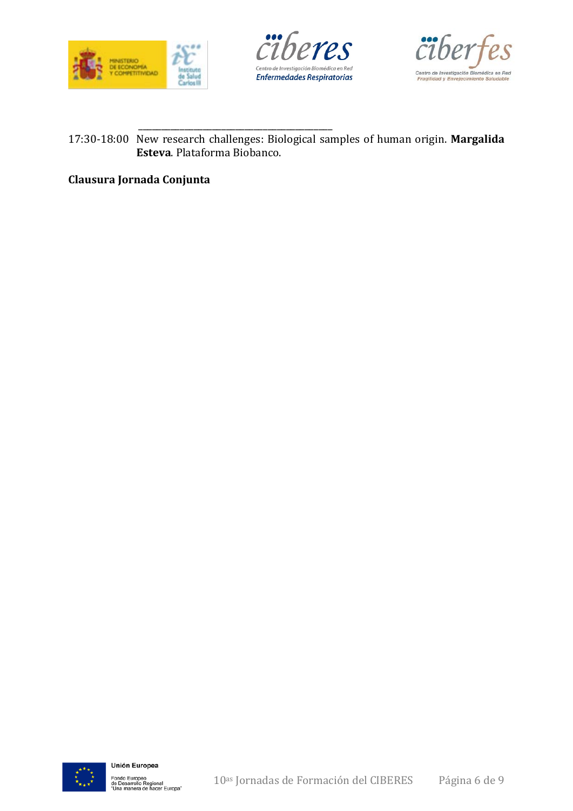





#### \_\_\_\_\_\_\_\_\_\_\_\_\_\_\_\_\_\_\_\_\_\_\_\_\_\_\_\_\_\_\_\_\_\_\_\_\_\_\_\_\_\_ 17:30-18:00 New research challenges: Biological samples of human origin. **Margalida Esteva**. Plataforma Biobanco.

### **Clausura Jornada Conjunta**

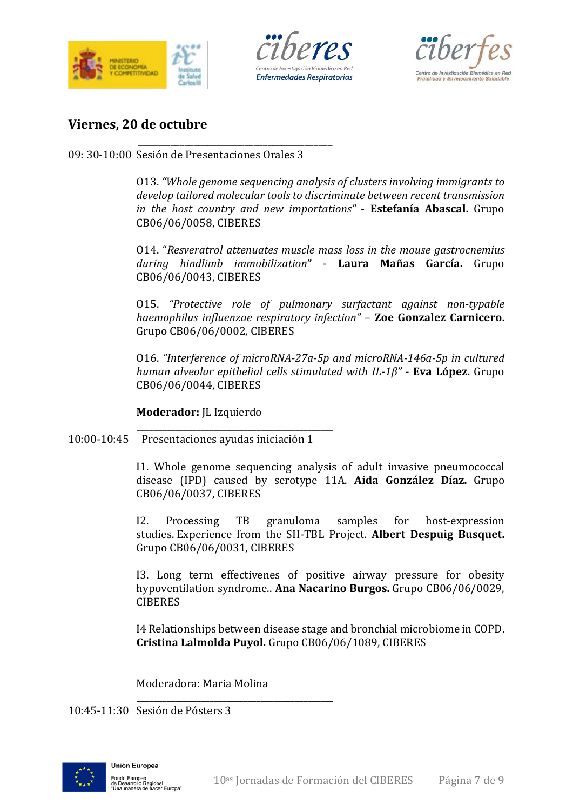





## **Viernes, 20 de octubre**

\_\_\_\_\_\_\_\_\_\_\_\_\_\_\_\_\_\_\_\_\_\_\_\_\_\_\_\_\_\_\_\_\_\_\_\_\_\_\_\_\_\_ 09: 30-10:00 Sesión de Presentaciones Orales 3

> O13. *"Whole genome sequencing analysis of clusters involving immigrants to develop tailored molecular tools to discriminate between recent transmission in the host country and new importations"* - **Estefanía Abascal.** Grupo CB06/06/0058, CIBERES

> O14. "*Resveratrol attenuates muscle mass loss in the mouse gastrocnemius during hindlimb immobilization***"** - **Laura Mañas García.** Grupo CB06/06/0043, CIBERES

> O15. *"Protective role of pulmonary surfactant against non-typable haemophilus influenzae respiratory infection"* – **Zoe Gonzalez Carnicero.**  Grupo CB06/06/0002, CIBERES

> O16. *"Interference of microRNA-27a-5p and microRNA-146a-5p in cultured human alveolar epithelial cells stimulated with IL-1β" -* **Eva López.** Grupo CB06/06/0044, CIBERES

**Moderador:** JL Izquierdo

**\_\_\_\_\_\_\_\_\_\_\_\_\_\_\_\_\_\_\_\_\_\_\_\_\_\_\_\_\_\_\_\_\_\_\_\_\_\_\_\_\_\_\_\_\_\_**

10:00-10:45 Presentaciones ayudas iniciación 1

I1. Whole genome sequencing analysis of adult invasive pneumococcal disease (IPD) caused by serotype 11A. **Aida González Díaz.** Grupo CB06/06/0037, CIBERES

I2. Processing TB granuloma samples for host-expression studies. Experience from the SH-TBL Project. **Albert Despuig Busquet.**  Grupo CB06/06/0031, CIBERES

I3. Long term effectivenes of positive airway pressure for obesity hypoventilation syndrome.. **Ana Nacarino Burgos.** Grupo CB06/06/0029, **CIBERES** 

I4 Relationships between disease stage and bronchial microbiome in COPD. **Cristina Lalmolda Puyol.** Grupo CB06/06/1089, CIBERES

Moderadora: Maria Molina

**\_\_\_\_\_\_\_\_\_\_\_\_\_\_\_\_\_\_\_\_\_\_\_\_\_\_\_\_\_\_\_\_\_\_\_\_\_\_\_\_\_\_\_\_\_\_** 10:45-11:30 Sesión de Pósters 3

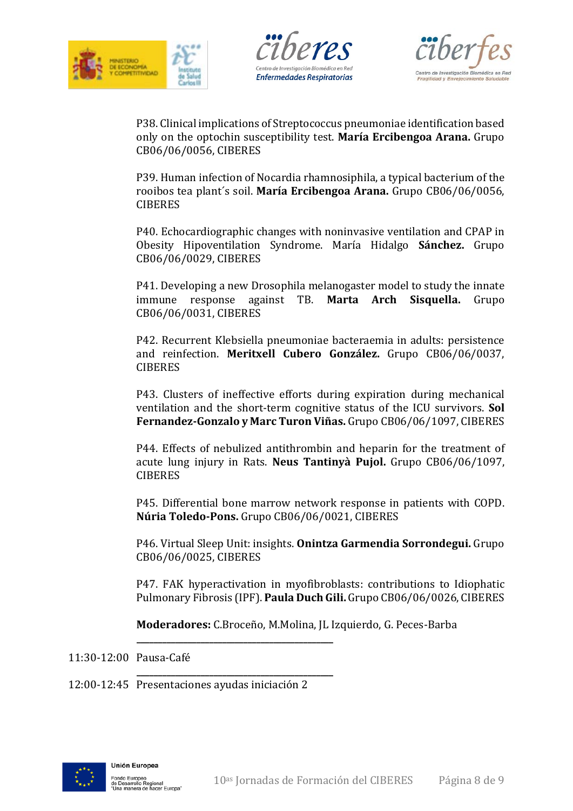





P38. Clinical implications of Streptococcus pneumoniae identification based only on the optochin susceptibility test. **María Ercibengoa Arana.** Grupo CB06/06/0056, CIBERES

P39. Human infection of Nocardia rhamnosiphila, a typical bacterium of the rooibos tea plant´s soil. **María Ercibengoa Arana.** Grupo CB06/06/0056, CIBERES

P40. Echocardiographic changes with noninvasive ventilation and CPAP in Obesity Hipoventilation Syndrome. María Hidalgo **Sánchez.** Grupo CB06/06/0029, CIBERES

P41. Developing a new Drosophila melanogaster model to study the innate immune response against TB. **Marta Arch Sisquella.** Grupo against TB. Marta Arch Sisquella. Grupo CB06/06/0031, CIBERES

P42. Recurrent Klebsiella pneumoniae bacteraemia in adults: persistence and reinfection. **Meritxell Cubero González.** Grupo CB06/06/0037, **CIBERES** 

P43. Clusters of ineffective efforts during expiration during mechanical ventilation and the short-term cognitive status of the ICU survivors. **Sol Fernandez-Gonzalo y Marc Turon Viñas.** Grupo CB06/06/1097, CIBERES

P44. Effects of nebulized antithrombin and heparin for the treatment of acute lung injury in Rats. **Neus Tantinyà Pujol.** Grupo CB06/06/1097, **CIBERES** 

P45. Differential bone marrow network response in patients with COPD. **Núria Toledo-Pons.** Grupo CB06/06/0021, CIBERES

P46. Virtual Sleep Unit: insights. **Onintza Garmendia Sorrondegui.** Grupo CB06/06/0025, CIBERES

P47. FAK hyperactivation in myofibroblasts: contributions to Idiophatic Pulmonary Fibrosis (IPF). **Paula Duch Gili.** Grupo CB06/06/0026, CIBERES

**Moderadores:** C.Broceño, M.Molina, JL Izquierdo, G. Peces-Barba

11:30-12:00 Pausa-Café

12:00-12:45 Presentaciones ayudas iniciación 2

**\_\_\_\_\_\_\_\_\_\_\_\_\_\_\_\_\_\_\_\_\_\_\_\_\_\_\_\_\_\_\_\_\_\_\_\_\_\_\_\_\_\_\_\_\_\_**

**\_\_\_\_\_\_\_\_\_\_\_\_\_\_\_\_\_\_\_\_\_\_\_\_\_\_\_\_\_\_\_\_\_\_\_\_\_\_\_\_\_\_\_\_\_\_**